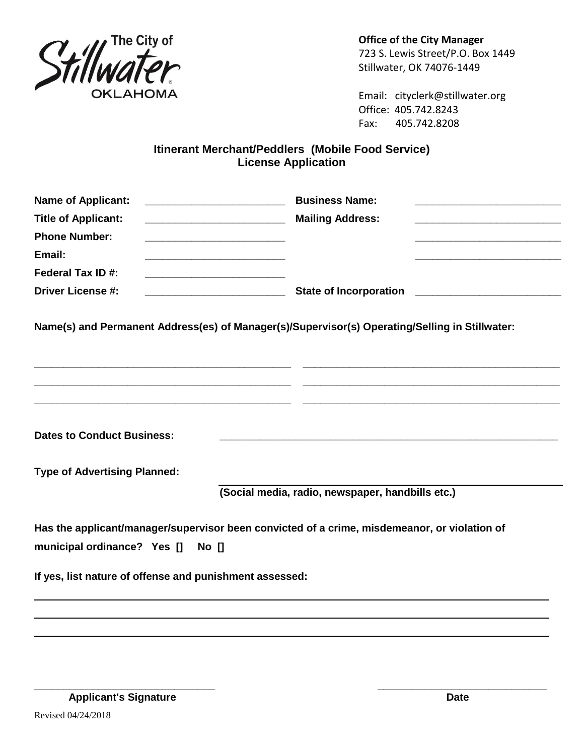

**Office of the City Manager** 723 S. Lewis Street/P.O. Box 1449 Stillwater, OK 74076-1449

Email: cityclerk@stillwater.org Office: 405.742.8243 Fax: 405.742.8208

## **Itinerant Merchant/Peddlers (Mobile Food Service) License Application**

| <b>Name of Applicant:</b>                               | <b>Business Name:</b>                                                                          |
|---------------------------------------------------------|------------------------------------------------------------------------------------------------|
| <b>Title of Applicant:</b>                              | <b>Mailing Address:</b>                                                                        |
| <b>Phone Number:</b>                                    |                                                                                                |
| Email:                                                  |                                                                                                |
| Federal Tax ID#:                                        |                                                                                                |
| <b>Driver License #:</b>                                |                                                                                                |
|                                                         | Name(s) and Permanent Address(es) of Manager(s)/Supervisor(s) Operating/Selling in Stillwater: |
| <b>Dates to Conduct Business:</b>                       |                                                                                                |
| <b>Type of Advertising Planned:</b>                     |                                                                                                |
|                                                         | (Social media, radio, newspaper, handbills etc.)                                               |
| municipal ordinance? Yes [] No []                       | Has the applicant/manager/supervisor been convicted of a crime, misdemeanor, or violation of   |
| If yes, list nature of offense and punishment assessed: |                                                                                                |
|                                                         |                                                                                                |

Revised 04/24/2018